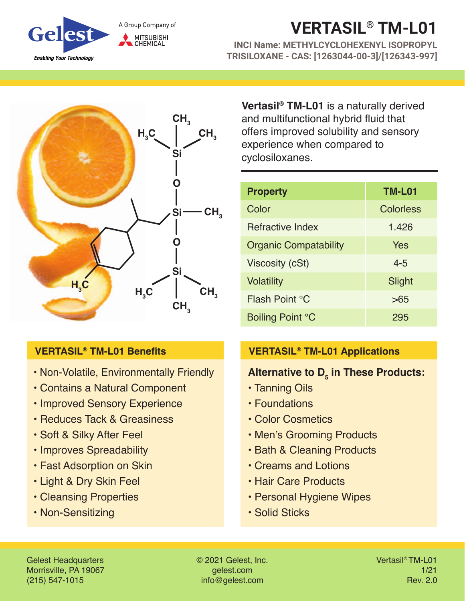

# **VERTASIL® TM-L01**

**INCI Name: METHYLCYCLOHEXENYL ISOPROPYL TRISILOXANE - CAS: [1263044-00-3]/[126343-997]**



## **VERTASIL® TM-L01 Benefits**

- Non-Volatile, Environmentally Friendly
- Contains a Natural Component
- Improved Sensory Experience
- Reduces Tack & Greasiness
- Soft & Silky After Feel
- Improves Spreadability
- Fast Adsorption on Skin
- Light & Dry Skin Feel
- Cleansing Properties
- Non-Sensitizing

**Vertasil® TM-L01** is a naturally derived and multifunctional hybrid fluid that offers improved solubility and sensory experience when compared to cyclosiloxanes.

| <b>Property</b>              | <b>TM-L01</b> |
|------------------------------|---------------|
| Color                        | Colorless     |
| Refractive Index             | 1.426         |
| <b>Organic Compatability</b> | Yes           |
| Viscosity (cSt)              | $4 - 5$       |
| <b>Volatility</b>            | Slight        |
| Flash Point °C               | >65           |
| Boiling Point °C             | 295           |

## **VERTASIL® TM-L01 Applications**

## Alternative to D<sub>5</sub> in These Products:

- Tanning Oils
- Foundations
- Color Cosmetics
- Men's Grooming Products
- Bath & Cleaning Products
- Creams and Lotions
- Hair Care Products
- Personal Hygiene Wipes
- Solid Sticks

Gelest Headquarters Morrisville, PA 19067 (215) 547-1015

© 2021 Gelest, Inc. gelest.com info@gelest.com

Vertasil® TM-L01 1/21 Rev. 2.0